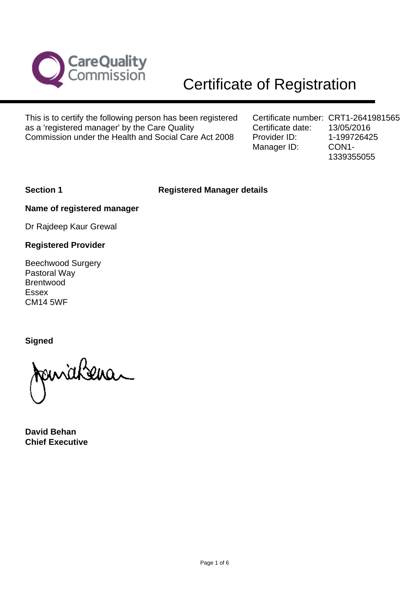

# Certificate of Registration

This is to certify the following person has been registered Certificate number: CRT1-2641981565 as a 'registered manager' by the Care Quality **Certificate date:** 13/05/2016<br>Commission under the Health and Social Care Act 2008 Provider ID: 1-19972642 Commission under the Health and Social Care Act 2008 Provider ID: 1-199726425

Manager ID: CON1-1339355055

# **Section 1 Registered Manager details**

**Name of registered manager**

Dr Rajdeep Kaur Grewal

### **Registered Provider**

Beechwood Surgery Pastoral Way Brentwood Essex CM14 5WF

**Signed**

**David Behan Chief Executive**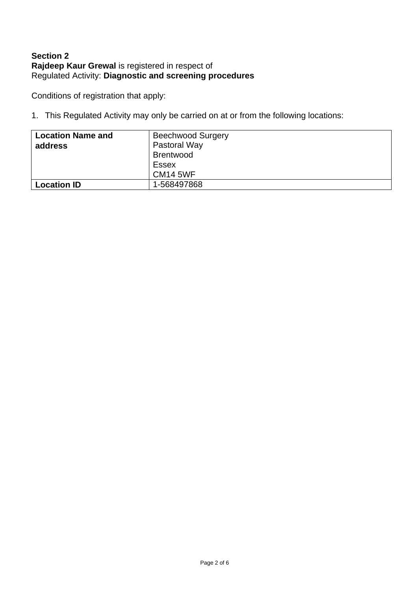# **Section 2 Rajdeep Kaur Grewal** is registered in respect of Regulated Activity: **Diagnostic and screening procedures**

Conditions of registration that apply:

| <b>Location Name and</b> | <b>Beechwood Surgery</b> |
|--------------------------|--------------------------|
| address                  | Pastoral Way             |
|                          | <b>Brentwood</b>         |
|                          | <b>Essex</b>             |
|                          | <b>CM14 5WF</b>          |
| <b>Location ID</b>       | 1-568497868              |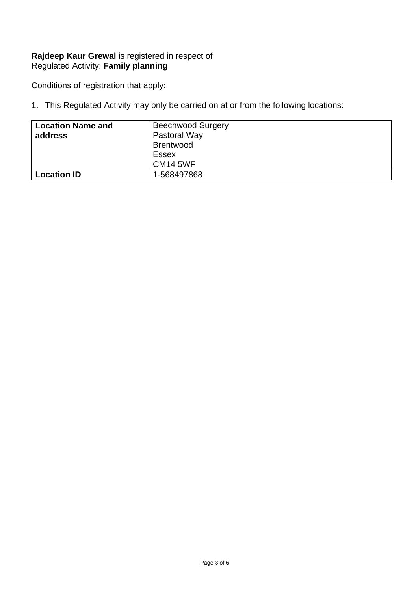### **Rajdeep Kaur Grewal** is registered in respect of Regulated Activity: **Family planning**

Conditions of registration that apply:

| <b>Location Name and</b><br>address | <b>Beechwood Surgery</b><br>Pastoral Way<br><b>Brentwood</b><br><b>Essex</b> |
|-------------------------------------|------------------------------------------------------------------------------|
|                                     | <b>CM14 5WF</b>                                                              |
| <b>Location ID</b>                  | 1-568497868                                                                  |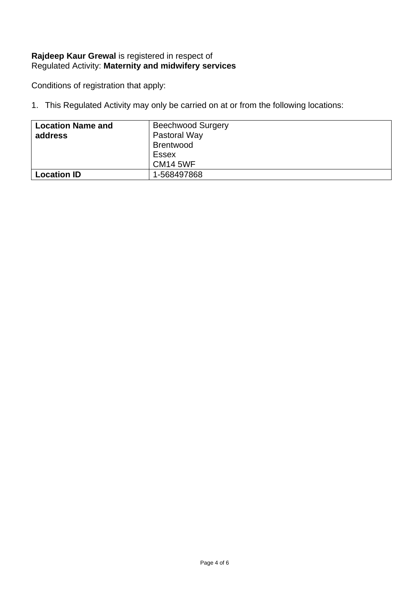#### **Rajdeep Kaur Grewal** is registered in respect of Regulated Activity: **Maternity and midwifery services**

Conditions of registration that apply:

| <b>Location Name and</b> | <b>Beechwood Surgery</b> |
|--------------------------|--------------------------|
| address                  | Pastoral Way             |
|                          | <b>Brentwood</b>         |
|                          | <b>Essex</b>             |
|                          | <b>CM14 5WF</b>          |
| <b>Location ID</b>       | 1-568497868              |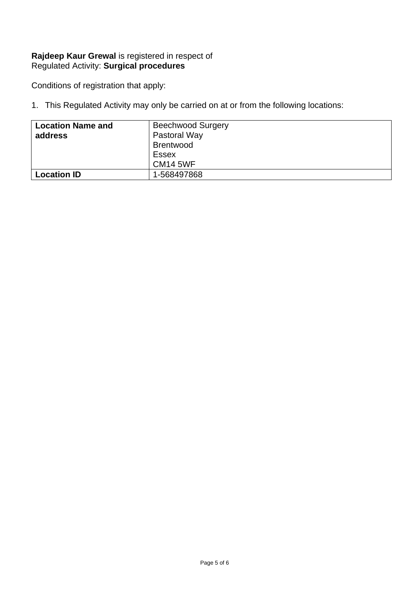### **Rajdeep Kaur Grewal** is registered in respect of Regulated Activity: **Surgical procedures**

Conditions of registration that apply:

| <b>Location Name and</b><br>address | <b>Beechwood Surgery</b><br>Pastoral Way<br><b>Brentwood</b><br><b>Essex</b> |
|-------------------------------------|------------------------------------------------------------------------------|
|                                     | <b>CM14 5WF</b>                                                              |
| <b>Location ID</b>                  | 1-568497868                                                                  |